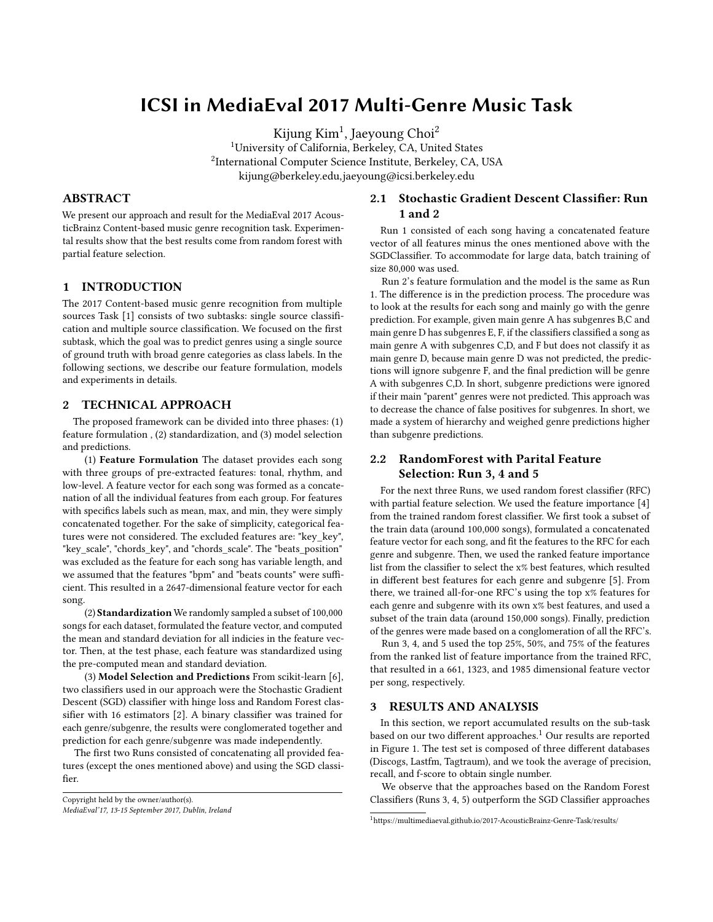# ICSI in MediaEval 2017 Multi-Genre Music Task

Kijung Kim $^1$ , Jaeyoung Choi $^2$ 

<sup>1</sup>University of California, Berkeley, CA, United States 2 International Computer Science Institute, Berkeley, CA, USA kijung@berkeley.edu,jaeyoung@icsi.berkeley.edu

## ABSTRACT

We present our approach and result for the MediaEval 2017 AcousticBrainz Content-based music genre recognition task. Experimental results show that the best results come from random forest with partial feature selection.

## 1 INTRODUCTION

The 2017 Content-based music genre recognition from multiple sources Task [\[1\]](#page-1-0) consists of two subtasks: single source classification and multiple source classification. We focused on the first subtask, which the goal was to predict genres using a single source of ground truth with broad genre categories as class labels. In the following sections, we describe our feature formulation, models and experiments in details.

## 2 TECHNICAL APPROACH

The proposed framework can be divided into three phases: (1) feature formulation , (2) standardization, and (3) model selection and predictions.

(1) Feature Formulation The dataset provides each song with three groups of pre-extracted features: tonal, rhythm, and low-level. A feature vector for each song was formed as a concatenation of all the individual features from each group. For features with specifics labels such as mean, max, and min, they were simply concatenated together. For the sake of simplicity, categorical features were not considered. The excluded features are: "key\_key", "key\_scale", "chords\_key", and "chords\_scale". The "beats\_position" was excluded as the feature for each song has variable length, and we assumed that the features "bpm" and "beats counts" were sufficient. This resulted in a 2647-dimensional feature vector for each song.

(2) Standardization We randomly sampled a subset of 100,000 songs for each dataset, formulated the feature vector, and computed the mean and standard deviation for all indicies in the feature vector. Then, at the test phase, each feature was standardized using the pre-computed mean and standard deviation.

(3) Model Selection and Predictions From scikit-learn [6], two classifiers used in our approach were the Stochastic Gradient Descent (SGD) classifier with hinge loss and Random Forest classifier with 16 estimators [2]. A binary classifier was trained for each genre/subgenre, the results were conglomerated together and prediction for each genre/subgenre was made independently.

The first two Runs consisted of concatenating all provided features (except the ones mentioned above) and using the SGD classifier.

```
Copyright held by the owner/author(s).
MediaEval'17, 13-15 September 2017, Dublin, Ireland
```
# 2.1 Stochastic Gradient Descent Classifier: Run 1 and 2

Run 1 consisted of each song having a concatenated feature vector of all features minus the ones mentioned above with the SGDClassifier. To accommodate for large data, batch training of size 80,000 was used.

Run 2's feature formulation and the model is the same as Run 1. The difference is in the prediction process. The procedure was to look at the results for each song and mainly go with the genre prediction. For example, given main genre A has subgenres B,C and main genre D has subgenres E, F, if the classifiers classified a song as main genre A with subgenres C,D, and F but does not classify it as main genre D, because main genre D was not predicted, the predictions will ignore subgenre F, and the final prediction will be genre A with subgenres C,D. In short, subgenre predictions were ignored if their main "parent" genres were not predicted. This approach was to decrease the chance of false positives for subgenres. In short, we made a system of hierarchy and weighed genre predictions higher than subgenre predictions.

# 2.2 RandomForest with Parital Feature Selection: Run 3, 4 and 5

For the next three Runs, we used random forest classifier (RFC) with partial feature selection. We used the feature importance [4] from the trained random forest classifier. We first took a subset of the train data (around 100,000 songs), formulated a concatenated feature vector for each song, and fit the features to the RFC for each genre and subgenre. Then, we used the ranked feature importance list from the classifier to select the x% best features, which resulted in different best features for each genre and subgenre [5]. From there, we trained all-for-one RFC's using the top x% features for each genre and subgenre with its own x% best features, and used a subset of the train data (around 150,000 songs). Finally, prediction of the genres were made based on a conglomeration of all the RFC's.

Run 3, 4, and 5 used the top 25%, 50%, and 75% of the features from the ranked list of feature importance from the trained RFC, that resulted in a 661, 1323, and 1985 dimensional feature vector per song, respectively.

#### 3 RESULTS AND ANALYSIS

In this section, we report accumulated results on the sub-task based on our two different approaches.<sup>[1](#page-0-0)</sup> Our results are reported in Figure 1. The test set is composed of three different databases (Discogs, Lastfm, Tagtraum), and we took the average of precision, recall, and f-score to obtain single number.

We observe that the approaches based on the Random Forest Classifiers (Runs 3, 4, 5) outperform the SGD Classifier approaches

<span id="page-0-0"></span><sup>1</sup>https://multimediaeval.github.io/2017-AcousticBrainz-Genre-Task/results/